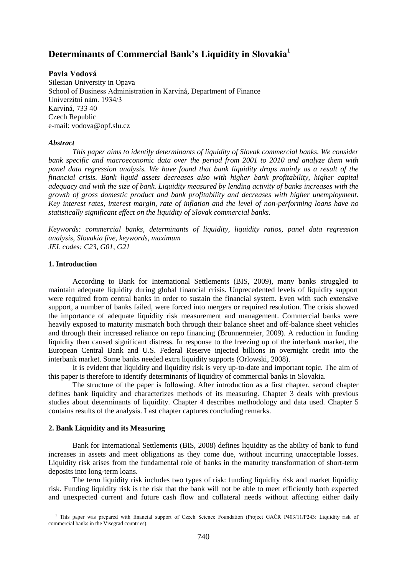# **Determinants of Commercial Bank's Liquidity in Slovakia<sup>1</sup>**

# **Pavla Vodová**

Silesian University in Opava School of Business Administration in Karviná, Department of Finance Univerzitní nám. 1934/3 Karviná, 733 40 Czech Republic e-mail: vodova@opf.slu.cz

#### *Abstract*

*This paper aims to identify determinants of liquidity of Slovak commercial banks. We consider bank specific and macroeconomic data over the period from 2001 to 2010 and analyze them with panel data regression analysis. We have found that bank liquidity drops mainly as a result of the financial crisis. Bank liquid assets decreases also with higher bank profitability, higher capital adequacy and with the size of bank. Liquidity measured by lending activity of banks increases with the growth of gross domestic product and bank profitability and decreases with higher unemployment. Key interest rates, interest margin, rate of inflation and the level of non-performing loans have no statistically significant effect on the liquidity of Slovak commercial banks.*

*Keywords: commercial banks, determinants of liquidity, liquidity ratios, panel data regression analysis, Slovakia five, keywords, maximum JEL codes: C23, G01, G21*

#### **1. Introduction**

1

According to Bank for International Settlements (BIS, 2009), many banks struggled to maintain adequate liquidity during global financial crisis. Unprecedented levels of liquidity support were required from central banks in order to sustain the financial system. Even with such extensive support, a number of banks failed, were forced into mergers or required resolution. The crisis showed the importance of adequate liquidity risk measurement and management. Commercial banks were heavily exposed to maturity mismatch both through their balance sheet and off-balance sheet vehicles and through their increased reliance on repo financing (Brunnermeier, 2009). A reduction in funding liquidity then caused significant distress. In response to the freezing up of the interbank market, the European Central Bank and U.S. Federal Reserve injected billions in overnight credit into the interbank market. Some banks needed extra liquidity supports (Orlowski, 2008).

It is evident that liquidity and liquidity risk is very up-to-date and important topic. The aim of this paper is therefore to identify determinants of liquidity of commercial banks in Slovakia.

The structure of the paper is following. After introduction as a first chapter, second chapter defines bank liquidity and characterizes methods of its measuring. Chapter 3 deals with previous studies about determinants of liquidity. Chapter 4 describes methodology and data used. Chapter 5 contains results of the analysis. Last chapter captures concluding remarks.

#### **2. Bank Liquidity and its Measuring**

Bank for International Settlements (BIS, 2008) defines liquidity as the ability of bank to fund increases in assets and meet obligations as they come due, without incurring unacceptable losses. Liquidity risk arises from the fundamental role of banks in the maturity transformation of short-term deposits into long-term loans.

The term liquidity risk includes two types of risk: funding liquidity risk and market liquidity risk. Funding liquidity risk is the risk that the bank will not be able to meet efficiently both expected and unexpected current and future cash flow and collateral needs without affecting either daily

<sup>&</sup>lt;sup>1</sup> This paper was prepared with financial support of Czech Science Foundation (Project GAČR P403/11/P243: Liquidity risk of commercial banks in the Visegrad countries).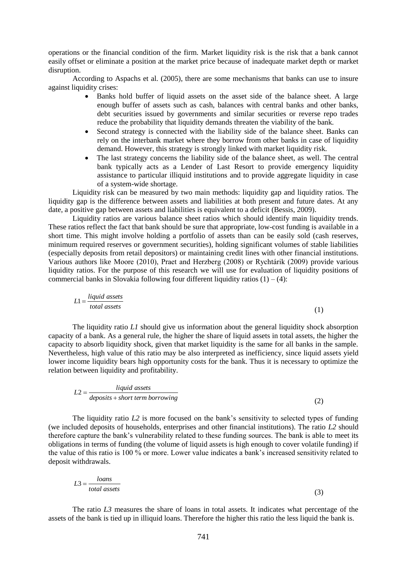operations or the financial condition of the firm. Market liquidity risk is the risk that a bank cannot easily offset or eliminate a position at the market price because of inadequate market depth or market disruption.

According to Aspachs et al. (2005), there are some mechanisms that banks can use to insure against liquidity crises:

- Banks hold buffer of liquid assets on the asset side of the balance sheet. A large enough buffer of assets such as cash, balances with central banks and other banks, debt securities issued by governments and similar securities or reverse repo trades reduce the probability that liquidity demands threaten the viability of the bank.
- Second strategy is connected with the liability side of the balance sheet. Banks can rely on the interbank market where they borrow from other banks in case of liquidity demand. However, this strategy is strongly linked with market liquidity risk.
- The last strategy concerns the liability side of the balance sheet, as well. The central bank typically acts as a Lender of Last Resort to provide emergency liquidity assistance to particular illiquid institutions and to provide aggregate liquidity in case of a system-wide shortage.

Liquidity risk can be measured by two main methods: liquidity gap and liquidity ratios. The liquidity gap is the difference between assets and liabilities at both present and future dates. At any date, a positive gap between assets and liabilities is equivalent to a deficit (Bessis, 2009).

Liquidity ratios are various balance sheet ratios which should identify main liquidity trends. These ratios reflect the fact that bank should be sure that appropriate, low-cost funding is available in a short time. This might involve holding a portfolio of assets than can be easily sold (cash reserves, minimum required reserves or government securities), holding significant volumes of stable liabilities (especially deposits from retail depositors) or maintaining credit lines with other financial institutions. Various authors like Moore (2010), Praet and Herzberg (2008) or Rychtárik (2009) provide various liquidity ratios. For the purpose of this research we will use for evaluation of liquidity positions of commercial banks in Slovakia following four different liquidity ratios  $(1) - (4)$ :

$$
L1 = \frac{liquid\ assets}{total\ assets}
$$

The liquidity ratio *L1* should give us information about the general liquidity shock absorption capacity of a bank. As a general rule, the higher the share of liquid assets in total assets, the higher the capacity to absorb liquidity shock, given that market liquidity is the same for all banks in the sample. Nevertheless, high value of this ratio may be also interpreted as inefficiency, since liquid assets yield lower income liquidity bears high opportunity costs for the bank. Thus it is necessary to optimize the relation between liquidity and profitability.

(1)

$$
L2 = \frac{liquid\ assets}{deposits + short\ term\ borrowing}
$$
 (2)

The liquidity ratio *L2* is more focused on the bank's sensitivity to selected types of funding (we included deposits of households, enterprises and other financial institutions). The ratio *L2* should therefore capture the bank's vulnerability related to these funding sources. The bank is able to meet its obligations in terms of funding (the volume of liquid assets is high enough to cover volatile funding) if the value of this ratio is 100 % or more. Lower value indicates a bank's increased sensitivity related to deposit withdrawals.

$$
L3 = \frac{loans}{total\;assets} \tag{3}
$$

The ratio *L3* measures the share of loans in total assets. It indicates what percentage of the assets of the bank is tied up in illiquid loans. Therefore the higher this ratio the less liquid the bank is.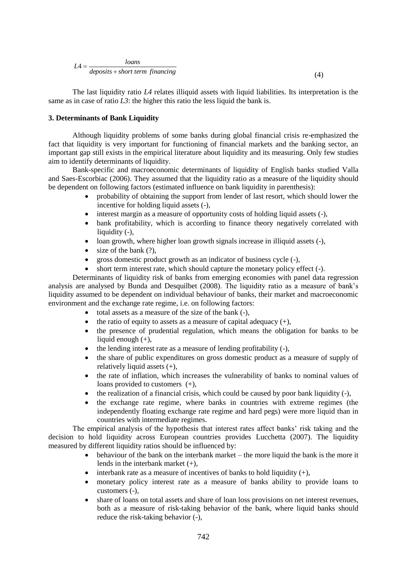$$
LA = \frac{loans}{deposits + short term financing}
$$
\n<sup>(4)</sup>

The last liquidity ratio *L4* relates illiquid assets with liquid liabilities. Its interpretation is the same as in case of ratio  $L3$ : the higher this ratio the less liquid the bank is.

#### **3. Determinants of Bank Liquidity**

Although liquidity problems of some banks during global financial crisis re-emphasized the fact that liquidity is very important for functioning of financial markets and the banking sector, an important gap still exists in the empirical literature about liquidity and its measuring. Only few studies aim to identify determinants of liquidity.

Bank-specific and macroeconomic determinants of liquidity of English banks studied Valla and Saes-Escorbiac (2006). They assumed that the liquidity ratio as a measure of the liquidity should be dependent on following factors (estimated influence on bank liquidity in parenthesis):

- probability of obtaining the support from lender of last resort, which should lower the incentive for holding liquid assets (-),
- interest margin as a measure of opportunity costs of holding liquid assets (-),
- bank profitability, which is according to finance theory negatively correlated with liquidity (-),
- loan growth, where higher loan growth signals increase in illiquid assets (-),
- $\bullet$  size of the bank  $(?)$ ,
- gross domestic product growth as an indicator of business cycle (-),
- short term interest rate, which should capture the monetary policy effect (-).

Determinants of liquidity risk of banks from emerging economies with panel data regression analysis are analysed by Bunda and Desquilbet (2008). The liquidity ratio as a measure of bank's liquidity assumed to be dependent on individual behaviour of banks, their market and macroeconomic environment and the exchange rate regime, i.e. on following factors:

- total assets as a measure of the size of the bank (-),
- $\bullet$  the ratio of equity to assets as a measure of capital adequacy  $(+)$ ,
- the presence of prudential regulation, which means the obligation for banks to be liquid enough (+),
- $\bullet$  the lending interest rate as a measure of lending profitability  $(-)$ ,
- the share of public expenditures on gross domestic product as a measure of supply of relatively liquid assets (+),
- the rate of inflation, which increases the vulnerability of banks to nominal values of loans provided to customers (+),
- $\bullet$  the realization of a financial crisis, which could be caused by poor bank liquidity  $(-)$ ,
- the exchange rate regime, where banks in countries with extreme regimes (the independently floating exchange rate regime and hard pegs) were more liquid than in countries with intermediate regimes.

The empirical analysis of the hypothesis that interest rates affect banks' risk taking and the decision to hold liquidity across European countries provides Lucchetta (2007). The liquidity measured by different liquidity ratios should be influenced by:

- $\bullet$  behaviour of the bank on the interbank market the more liquid the bank is the more it lends in the interbank market (+),
- interbank rate as a measure of incentives of banks to hold liquidity  $(+)$ ,
- monetary policy interest rate as a measure of banks ability to provide loans to customers (-),
- share of loans on total assets and share of loan loss provisions on net interest revenues, both as a measure of risk-taking behavior of the bank, where liquid banks should reduce the risk-taking behavior (-),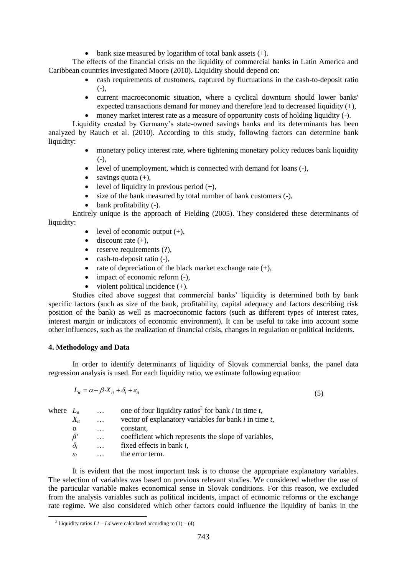$\bullet$  bank size measured by logarithm of total bank assets  $(+)$ .

The effects of the financial crisis on the liquidity of commercial banks in Latin America and Caribbean countries investigated Moore (2010). Liquidity should depend on:

- cash requirements of customers, captured by fluctuations in the cash-to-deposit ratio  $(-)$ ,
- current macroeconomic situation, where a cyclical downturn should lower banks' expected transactions demand for money and therefore lead to decreased liquidity (+),
- money market interest rate as a measure of opportunity costs of holding liquidity (-).

Liquidity created by Germany's state-owned savings banks and its determinants has been analyzed by Rauch et al. (2010). According to this study, following factors can determine bank liquidity:

- monetary policy interest rate, where tightening monetary policy reduces bank liquidity  $(-),$
- level of unemployment, which is connected with demand for loans (-),
- $\bullet$  savings quota (+).
- level of liquidity in previous period  $(+)$ ,
- size of the bank measured by total number of bank customers (-),
- bank profitability (-).

Entirely unique is the approach of Fielding (2005). They considered these determinants of liquidity:

- level of economic output  $(+)$ ,
- $\bullet$  discount rate (+),
- $\bullet$  reserve requirements  $(?)$ ,
- $\bullet$  cash-to-deposit ratio  $(-)$ ,
- rate of depreciation of the black market exchange rate  $(+)$ ,
- impact of economic reform  $(-)$ ,
- violent political incidence  $(+)$ .

Studies cited above suggest that commercial banks' liquidity is determined both by bank specific factors (such as size of the bank, profitability, capital adequacy and factors describing risk position of the bank) as well as macroeconomic factors (such as different types of interest rates, interest margin or indicators of economic environment). It can be useful to take into account some other influences, such as the realization of financial crisis, changes in regulation or political incidents.

## **4. Methodology and Data**

<u>.</u>

In order to identify determinants of liquidity of Slovak commercial banks, the panel data regression analysis is used. For each liquidity ratio, we estimate following equation:

(5)

| $L_{it} = \alpha + \beta \cdot X_{it} + \delta_i + \varepsilon_{it}$ |  |  |
|----------------------------------------------------------------------|--|--|
|                                                                      |  |  |

| where $L_{it}$ |                 | $\cdots$ | one of four liquidity ratios <sup>2</sup> for bank i in time t, |
|----------------|-----------------|----------|-----------------------------------------------------------------|
|                | $X_{it}$        | $\cdots$ | vector of explanatory variables for bank $i$ in time $t$ ,      |
|                | $\alpha$        | $\cdots$ | constant,                                                       |
|                | $\beta'$        | $\cdots$ | coefficient which represents the slope of variables,            |
|                | $\delta_i$      |          | fixed effects in bank $i$ ,                                     |
|                | $\varepsilon_i$ |          | the error term.                                                 |

It is evident that the most important task is to choose the appropriate explanatory variables. The selection of variables was based on previous relevant studies. We considered whether the use of the particular variable makes economical sense in Slovak conditions. For this reason, we excluded from the analysis variables such as political incidents, impact of economic reforms or the exchange rate regime. We also considered which other factors could influence the liquidity of banks in the

<sup>&</sup>lt;sup>2</sup> Liquidity ratios  $LI - L4$  were calculated according to (1) – (4).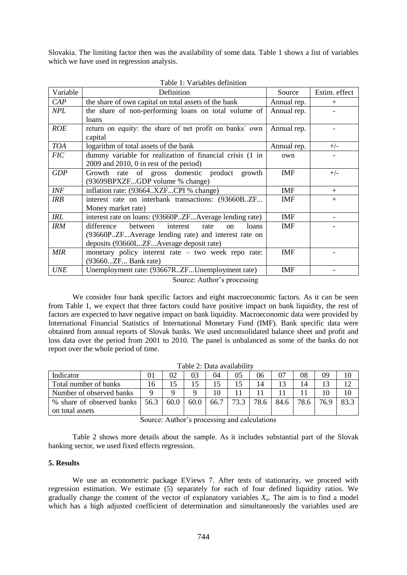Slovakia. The limiting factor then was the availability of some data. Table 1 shows a list of variables which we have used in regression analysis.

| Variable   | Definition                                                     | Source      | Estim. effect |
|------------|----------------------------------------------------------------|-------------|---------------|
| CAP        | the share of own capital on total assets of the bank           | Annual rep. | $^{+}$        |
| <b>NPL</b> | the share of non-performing loans on total volume of           | Annual rep. |               |
|            | loans                                                          |             |               |
| <b>ROE</b> | return on equity: the share of net profit on banks' own        | Annual rep. |               |
|            | capital                                                        |             |               |
| <b>TOA</b> | logarithm of total assets of the bank                          | Annual rep. | $+/-$         |
| <b>FIC</b> | dummy variable for realization of financial crisis (1 in       | own         |               |
|            | $2009$ and $2010$ , 0 in rest of the period)                   |             |               |
| <b>GDP</b> | Growth rate of gross domestic product<br>growth                | <b>IMF</b>  | $+/-$         |
|            | (93699BPXZFGDP volume % change)                                |             |               |
| <b>INF</b> | inflation rate: (93664XZFCPI % change)                         | <b>IMF</b>  | $+$           |
| IRB        | interest rate on interbank transactions: (93660BZF             | <b>IMF</b>  | $+$           |
|            | Money market rate)                                             |             |               |
| <b>IRL</b> | interest rate on loans: (93660PZFAverage lending rate)         | <b>IMF</b>  |               |
| <b>IRM</b> | difference<br>between<br>interest<br>loans<br>rate<br>$\alpha$ | <b>IMF</b>  |               |
|            | (93660PZFAverage lending rate) and interest rate on            |             |               |
|            | deposits (93660LZFAverage deposit rate)                        |             |               |
| <b>MIR</b> | monetary policy interest rate $-$ two week repo rate:          | <b>IMF</b>  |               |
|            | (93660ZF Bank rate)                                            |             |               |
| <b>UNE</b> | Unemployment rate: (93667RZFUnemployment rate)                 | IMF         |               |

Table 1: Variables definition

Source: Author's processing

We consider four bank specific factors and eight macroeconomic factors. As it can be seen from Table 1, we expect that three factors could have positive impact on bank liquidity, the rest of factors are expected to have negative impact on bank liquidity. Macroeconomic data were provided by International Financial Statistics of International Monetary Fund (IMF). Bank specific data were obtained from annual reports of Slovak banks. We used unconsolidated balance sheet and profit and loss data over the period from 2001 to 2010. The panel is unbalanced as some of the banks do not report over the whole period of time.

| Indicator                 |      | 02   | 03   | 04   | 05   | 06   | 07   | 08   | 09   | 10   |
|---------------------------|------|------|------|------|------|------|------|------|------|------|
| Total number of banks     | 10.  |      |      |      |      | 4    |      | 14   |      |      |
| Number of observed banks  |      |      |      |      |      |      |      |      |      | 10   |
| % share of observed banks | 56.3 | 60.0 | 60.0 | 66.7 | 73.3 | 78.6 | 84.6 | 78.6 | 76.9 | 83.3 |
| on total assets           |      |      |      |      |      |      |      |      |      |      |

Table 2: Data availability

Source: Author's processing and calculations

Table 2 shows more details about the sample. As it includes substantial part of the Slovak banking sector, we used fixed effects regression.

# **5. Results**

We use an econometric package EViews 7. After tests of stationarity, we proceed with regression estimation. We estimate (5) separately for each of four defined liquidity ratios. We gradually change the content of the vector of explanatory variables  $X_i$ . The aim is to find a model which has a high adjusted coefficient of determination and simultaneously the variables used are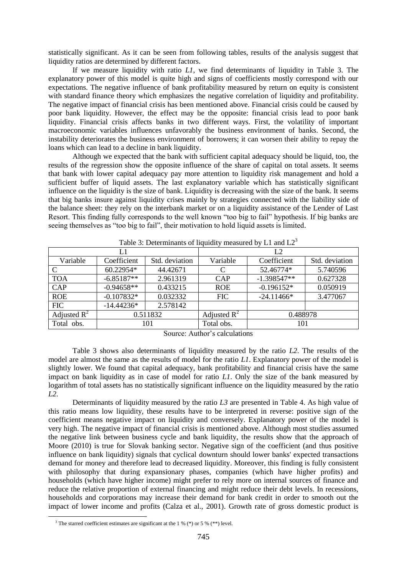statistically significant. As it can be seen from following tables, results of the analysis suggest that liquidity ratios are determined by different factors.

If we measure liquidity with ratio *L1*, we find determinants of liquidity in Table 3. The explanatory power of this model is quite high and signs of coefficients mostly correspond with our expectations. The negative influence of bank profitability measured by return on equity is consistent with standard finance theory which emphasizes the negative correlation of liquidity and profitability. The negative impact of financial crisis has been mentioned above. Financial crisis could be caused by poor bank liquidity. However, the effect may be the opposite: financial crisis lead to poor bank liquidity. Financial crisis affects banks in two different ways. First, the volatility of important macroeconomic variables influences unfavorably the business environment of banks. Second, the instability deteriorates the business environment of borrowers; it can worsen their ability to repay the loans which can lead to a decline in bank liquidity.

Although we expected that the bank with sufficient capital adequacy should be liquid, too, the results of the regression show the opposite influence of the share of capital on total assets. It seems that bank with lower capital adequacy pay more attention to liquidity risk management and hold a sufficient buffer of liquid assets. The last explanatory variable which has statistically significant influence on the liquidity is the size of bank. Liquidity is decreasing with the size of the bank. It seems that big banks insure against liquidity crises mainly by strategies connected with the liability side of the balance sheet: they rely on the interbank market or on a liquidity assistance of the Lender of Last Resort. This finding fully corresponds to the well known "too big to fail" hypothesis. If big banks are seeing themselves as "too big to fail", their motivation to hold liquid assets is limited.

|                         | L1           |                | L2                      |               |                |  |
|-------------------------|--------------|----------------|-------------------------|---------------|----------------|--|
| Variable                | Coefficient  | Std. deviation | Variable                | Coefficient   | Std. deviation |  |
| C                       | 60.22954*    | 44.42671       | C                       | 52.46774*     | 5.740596       |  |
| <b>TOA</b>              | $-6.85187**$ | 2.961319       | CAP                     | $-1.398547**$ | 0.627328       |  |
| CAP                     | $-0.94658**$ | 0.433215       | <b>ROE</b>              | $-0.196152*$  | 0.050919       |  |
| <b>ROE</b>              | $-0.107832*$ | 0.032332       | <b>FIC</b>              | $-24.11466*$  | 3.477067       |  |
| <b>FIC</b>              | $-14.44236*$ | 2.578142       |                         |               |                |  |
| Adjusted $\mathbb{R}^2$ | 0.511832     |                | Adjusted $\mathbb{R}^2$ | 0.488978      |                |  |
| Total obs.              | 101          |                | Total obs.              | 101           |                |  |

Table 3: Determinants of liquidity measured by L1 and  $L2<sup>3</sup>$ 

Source: Author's calculations

Table 3 shows also determinants of liquidity measured by the ratio *L2*. The results of the model are almost the same as the results of model for the ratio *L1*. Explanatory power of the model is slightly lower. We found that capital adequacy, bank profitability and financial crisis have the same impact on bank liquidity as in case of model for ratio *L1*. Only the size of the bank measured by logarithm of total assets has no statistically significant influence on the liquidity measured by the ratio *L2*.

Determinants of liquidity measured by the ratio *L3* are presented in Table 4. As high value of this ratio means low liquidity, these results have to be interpreted in reverse: positive sign of the coefficient means negative impact on liquidity and conversely. Explanatory power of the model is very high. The negative impact of financial crisis is mentioned above. Although most studies assumed the negative link between business cycle and bank liquidity, the results show that the approach of Moore (2010) is true for Slovak banking sector. Negative sign of the coefficient (and thus positive influence on bank liquidity) signals that cyclical downturn should lower banks' expected transactions demand for money and therefore lead to decreased liquidity. Moreover, this finding is fully consistent with philosophy that during expansionary phases, companies (which have higher profits) and households (which have higher income) might prefer to rely more on internal sources of finance and reduce the relative proportion of external financing and might reduce their debt levels. In recessions, households and corporations may increase their demand for bank credit in order to smooth out the impact of lower income and profits (Calza et al., 2001). Growth rate of gross domestic product is

<u>.</u>

<sup>&</sup>lt;sup>3</sup> The starred coefficient estimates are significant at the 1 % (\*) or 5 % (\*\*) level.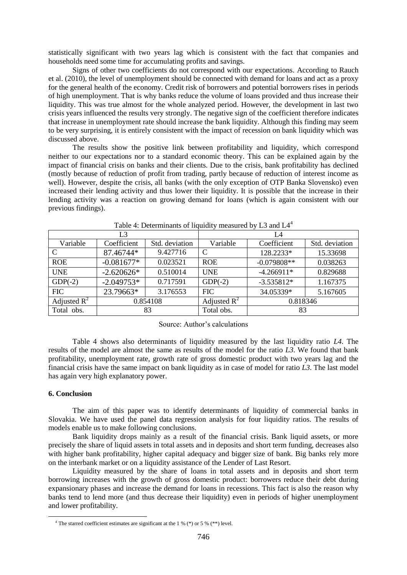statistically significant with two years lag which is consistent with the fact that companies and households need some time for accumulating profits and savings.

Signs of other two coefficients do not correspond with our expectations. According to Rauch et al. (2010), the level of unemployment should be connected with demand for loans and act as a proxy for the general health of the economy. Credit risk of borrowers and potential borrowers rises in periods of high unemployment. That is why banks reduce the volume of loans provided and thus increase their liquidity. This was true almost for the whole analyzed period. However, the development in last two crisis years influenced the results very strongly. The negative sign of the coefficient therefore indicates that increase in unemployment rate should increase the bank liquidity. Although this finding may seem to be very surprising, it is entirely consistent with the impact of recession on bank liquidity which was discussed above.

The results show the positive link between profitability and liquidity, which correspond neither to our expectations nor to a standard economic theory. This can be explained again by the impact of financial crisis on banks and their clients. Due to the crisis, bank profitability has declined (mostly because of reduction of profit from trading, partly because of reduction of interest income as well). However, despite the crisis, all banks (with the only exception of OTP Banka Slovensko) even increased their lending activity and thus lower their liquidity. It is possible that the increase in their lending activity was a reaction on growing demand for loans (which is again consistent with our previous findings).

| L3             |              |                | L4                      |               |                |  |
|----------------|--------------|----------------|-------------------------|---------------|----------------|--|
| Variable       | Coefficient  | Std. deviation | Variable                | Coefficient   | Std. deviation |  |
| $\mathcal{C}$  | 87.46744*    | 9.427716       | $\mathcal{C}$           | 128.2233*     | 15.33698       |  |
| <b>ROE</b>     | $-0.081677*$ | 0.023521       | <b>ROE</b>              | $-0.079808**$ | 0.038263       |  |
| <b>UNE</b>     | $-2.620626*$ | 0.510014       | <b>UNE</b>              | $-4.266911*$  | 0.829688       |  |
| $GDP(-2)$      | $-2.049753*$ | 0.717591       | $GDP(-2)$               | $-3.535812*$  | 1.167375       |  |
| <b>FIC</b>     | 23.79663*    | 3.176553       | <b>FIC</b>              | 34.05339*     | 5.167605       |  |
| Adjusted $R^2$ | 0.854108     |                | Adjusted $\mathbb{R}^2$ | 0.818346      |                |  |
| Total obs.     | 83           |                | Total obs.              | 83            |                |  |

Table 4: Determinants of liquidity measured by L3 and  $L4<sup>4</sup>$ 

Source: Author's calculations

Table 4 shows also determinants of liquidity measured by the last liquidity ratio *L4*. The results of the model are almost the same as results of the model for the ratio *L3*. We found that bank profitability, unemployment rate, growth rate of gross domestic product with two years lag and the financial crisis have the same impact on bank liquidity as in case of model for ratio *L3*. The last model has again very high explanatory power.

## **6. Conclusion**

<u>.</u>

The aim of this paper was to identify determinants of liquidity of commercial banks in Slovakia. We have used the panel data regression analysis for four liquidity ratios. The results of models enable us to make following conclusions.

Bank liquidity drops mainly as a result of the financial crisis. Bank liquid assets, or more precisely the share of liquid assets in total assets and in deposits and short term funding, decreases also with higher bank profitability, higher capital adequacy and bigger size of bank. Big banks rely more on the interbank market or on a liquidity assistance of the Lender of Last Resort.

Liquidity measured by the share of loans in total assets and in deposits and short term borrowing increases with the growth of gross domestic product: borrowers reduce their debt during expansionary phases and increase the demand for loans in recessions. This fact is also the reason why banks tend to lend more (and thus decrease their liquidity) even in periods of higher unemployment and lower profitability.

<sup>&</sup>lt;sup>4</sup> The starred coefficient estimates are significant at the 1 % (\*) or 5 % (\*\*) level.